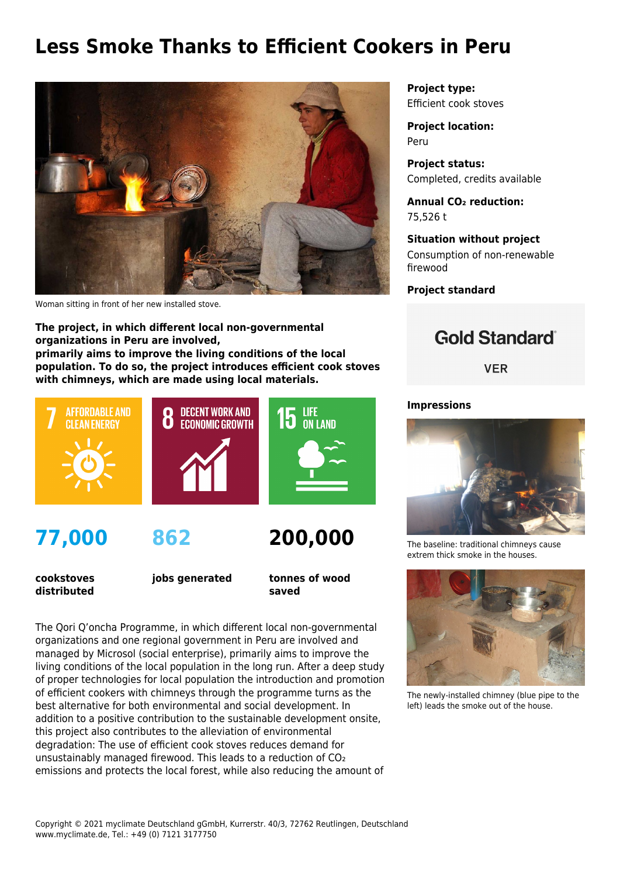## **Less Smoke Thanks to Efficient Cookers in Peru**



Woman sitting in front of her new installed stove.

**The project, in which different local non-governmental organizations in Peru are involved, primarily aims to improve the living conditions of the local population. To do so, the project introduces efficient cook stoves with chimneys, which are made using local materials.**



**cookstoves distributed** **jobs generated**

**tonnes of wood saved**

The Qori Q'oncha Programme, in which different local non-governmental organizations and one regional government in Peru are involved and managed by [Microsol](http://www.microsol-int.com/microsol) (social enterprise), primarily aims to improve the living conditions of the local population in the long run. After a deep study of proper technologies for local population the introduction and promotion of efficient cookers with chimneys through the programme turns as the best alternative for both environmental and social development. In addition to a positive contribution to the sustainable development onsite, this project also contributes to the alleviation of environmental degradation: The use of efficient cook stoves reduces demand for unsustainably managed firewood. This leads to a reduction of CO₂ emissions and protects the local forest, while also reducing the amount of

**Project type:** Efficient cook stoves

**Project location:** Peru

**Project status:** Completed, credits available

**Annual CO₂ reduction:** 75,526 t

**Situation without project** Consumption of non-renewable firewood

**Project standard**

## **Gold Standard**®

**VER** 

## **Impressions**



The baseline: traditional chimneys cause extrem thick smoke in the houses.



The newly-installed chimney (blue pipe to the left) leads the smoke out of the house.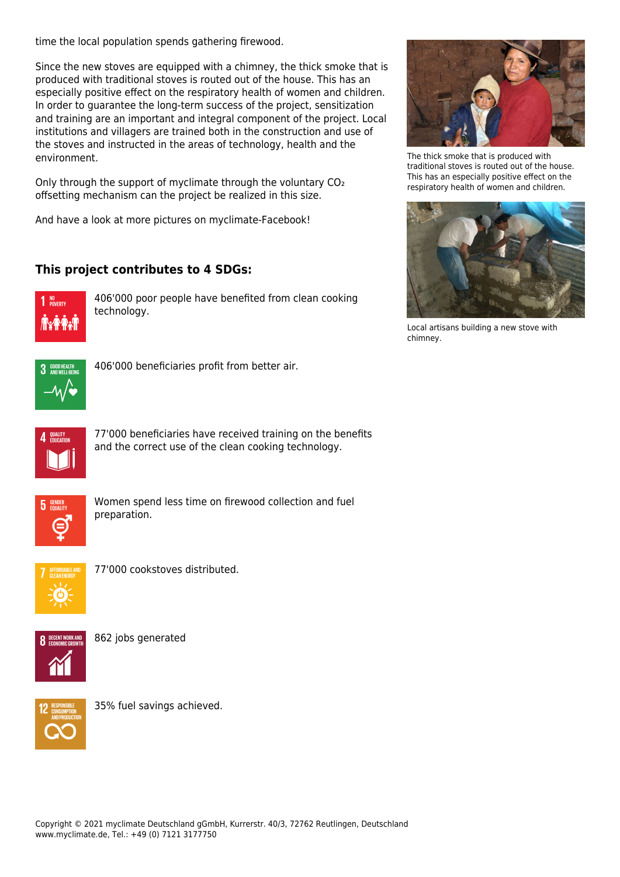time the local population spends gathering firewood.

Since the new stoves are equipped with a chimney, the thick smoke that is produced with traditional stoves is routed out of the house. This has an especially positive effect on the respiratory health of women and children. In order to guarantee the long-term success of the project, sensitization and training are an important and integral component of the project. Local institutions and villagers are trained both in the construction and use of the stoves and instructed in the areas of technology, health and the environment.

Only through the support of myclimate through the voluntary CO₂ offsetting mechanism can the project be realized in this size.

And have a look at more pictures on [myclimate-Facebook!](https://www.facebook.com/media/set/?set=a.10151354197095374.819260.341277720373&type=3)

## **This project contributes to 4 SDGs:**



406'000 poor people have benefited from clean cooking technology.



The thick smoke that is produced with traditional stoves is routed out of the house. This has an especially positive effect on the respiratory health of women and children.



Local artisans building a new stove with chimney.



406'000 beneficiaries profit from better air.



77'000 beneficiaries have received training on the benefits and the correct use of the clean cooking technology.



Women spend less time on firewood collection and fuel preparation.



77'000 cookstoves distributed.



862 jobs generated



35% fuel savings achieved.